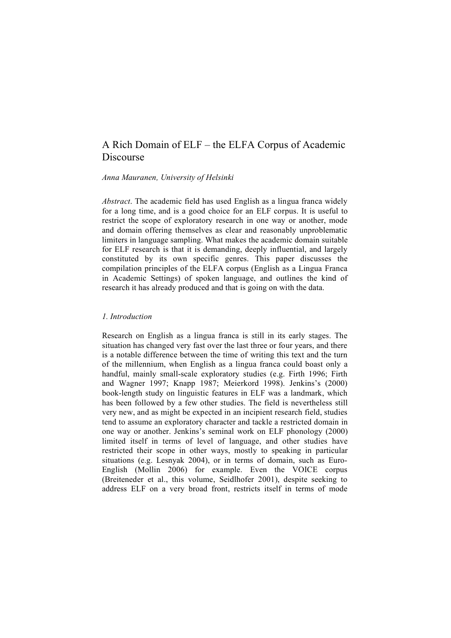# A Rich Domain of ELF – the ELFA Corpus of Academic Discourse

*Anna Mauranen, University of Helsinki*

*Abstract*. The academic field has used English as a lingua franca widely for a long time, and is a good choice for an ELF corpus. It is useful to restrict the scope of exploratory research in one way or another, mode and domain offering themselves as clear and reasonably unproblematic limiters in language sampling. What makes the academic domain suitable for ELF research is that it is demanding, deeply influential, and largely constituted by its own specific genres. This paper discusses the compilation principles of the ELFA corpus (English as a Lingua Franca in Academic Settings) of spoken language, and outlines the kind of research it has already produced and that is going on with the data.

#### *1. Introduction*

Research on English as a lingua franca is still in its early stages. The situation has changed very fast over the last three or four years, and there is a notable difference between the time of writing this text and the turn of the millennium, when English as a lingua franca could boast only a handful, mainly small-scale exploratory studies (e.g. Firth 1996; Firth and Wagner 1997; Knapp 1987; Meierkord 1998). Jenkins's (2000) book-length study on linguistic features in ELF was a landmark, which has been followed by a few other studies. The field is nevertheless still very new, and as might be expected in an incipient research field, studies tend to assume an exploratory character and tackle a restricted domain in one way or another. Jenkins's seminal work on ELF phonology (2000) limited itself in terms of level of language, and other studies have restricted their scope in other ways, mostly to speaking in particular situations (e.g. Lesnyak 2004), or in terms of domain, such as Euro-English (Mollin 2006) for example. Even the VOICE corpus (Breiteneder et al., this volume, Seidlhofer 2001), despite seeking to address ELF on a very broad front, restricts itself in terms of mode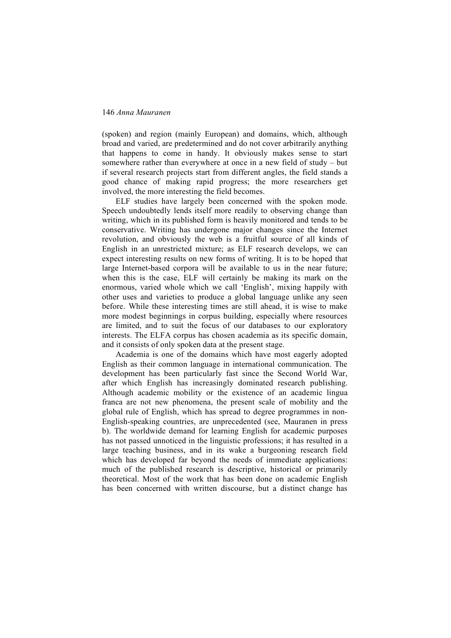(spoken) and region (mainly European) and domains, which, although broad and varied, are predetermined and do not cover arbitrarily anything that happens to come in handy. It obviously makes sense to start somewhere rather than everywhere at once in a new field of study – but if several research projects start from different angles, the field stands a good chance of making rapid progress; the more researchers get involved, the more interesting the field becomes.

ELF studies have largely been concerned with the spoken mode. Speech undoubtedly lends itself more readily to observing change than writing, which in its published form is heavily monitored and tends to be conservative. Writing has undergone major changes since the Internet revolution, and obviously the web is a fruitful source of all kinds of English in an unrestricted mixture; as ELF research develops, we can expect interesting results on new forms of writing. It is to be hoped that large Internet-based corpora will be available to us in the near future; when this is the case, ELF will certainly be making its mark on the enormous, varied whole which we call 'English', mixing happily with other uses and varieties to produce a global language unlike any seen before. While these interesting times are still ahead, it is wise to make more modest beginnings in corpus building, especially where resources are limited, and to suit the focus of our databases to our exploratory interests. The ELFA corpus has chosen academia as its specific domain, and it consists of only spoken data at the present stage.

Academia is one of the domains which have most eagerly adopted English as their common language in international communication. The development has been particularly fast since the Second World War, after which English has increasingly dominated research publishing. Although academic mobility or the existence of an academic lingua franca are not new phenomena, the present scale of mobility and the global rule of English, which has spread to degree programmes in non-English-speaking countries, are unprecedented (see, Mauranen in press b). The worldwide demand for learning English for academic purposes has not passed unnoticed in the linguistic professions; it has resulted in a large teaching business, and in its wake a burgeoning research field which has developed far beyond the needs of immediate applications: much of the published research is descriptive, historical or primarily theoretical. Most of the work that has been done on academic English has been concerned with written discourse, but a distinct change has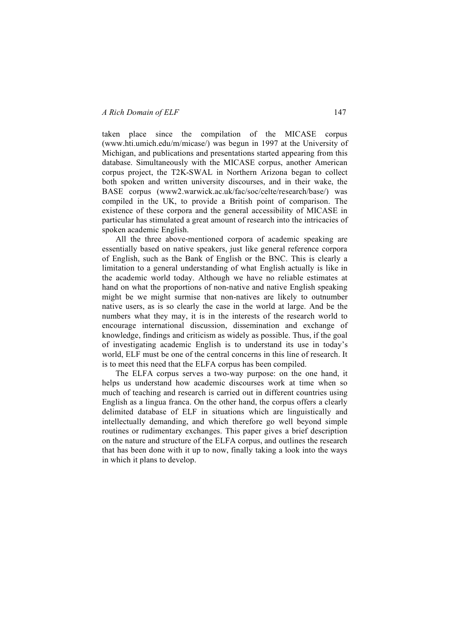#### *A Rich Domain of ELF* 147

taken place since the compilation of the MICASE corpus (www.hti.umich.edu/m/micase/) was begun in 1997 at the University of Michigan, and publications and presentations started appearing from this database. Simultaneously with the MICASE corpus, another American corpus project, the T2K-SWAL in Northern Arizona began to collect both spoken and written university discourses, and in their wake, the BASE corpus (www2.warwick.ac.uk/fac/soc/celte/research/base/) was compiled in the UK, to provide a British point of comparison. The existence of these corpora and the general accessibility of MICASE in particular has stimulated a great amount of research into the intricacies of spoken academic English.

All the three above-mentioned corpora of academic speaking are essentially based on native speakers, just like general reference corpora of English, such as the Bank of English or the BNC. This is clearly a limitation to a general understanding of what English actually is like in the academic world today. Although we have no reliable estimates at hand on what the proportions of non-native and native English speaking might be we might surmise that non-natives are likely to outnumber native users, as is so clearly the case in the world at large. And be the numbers what they may, it is in the interests of the research world to encourage international discussion, dissemination and exchange of knowledge, findings and criticism as widely as possible. Thus, if the goal of investigating academic English is to understand its use in today's world, ELF must be one of the central concerns in this line of research. It is to meet this need that the ELFA corpus has been compiled.

The ELFA corpus serves a two-way purpose: on the one hand, it helps us understand how academic discourses work at time when so much of teaching and research is carried out in different countries using English as a lingua franca. On the other hand, the corpus offers a clearly delimited database of ELF in situations which are linguistically and intellectually demanding, and which therefore go well beyond simple routines or rudimentary exchanges. This paper gives a brief description on the nature and structure of the ELFA corpus, and outlines the research that has been done with it up to now, finally taking a look into the ways in which it plans to develop.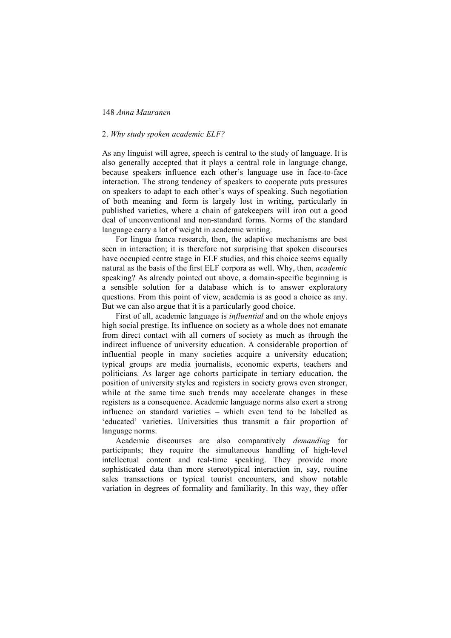## 2. *Why study spoken academic ELF?*

As any linguist will agree, speech is central to the study of language. It is also generally accepted that it plays a central role in language change, because speakers influence each other's language use in face-to-face interaction. The strong tendency of speakers to cooperate puts pressures on speakers to adapt to each other's ways of speaking. Such negotiation of both meaning and form is largely lost in writing, particularly in published varieties, where a chain of gatekeepers will iron out a good deal of unconventional and non-standard forms. Norms of the standard language carry a lot of weight in academic writing.

For lingua franca research, then, the adaptive mechanisms are best seen in interaction; it is therefore not surprising that spoken discourses have occupied centre stage in ELF studies, and this choice seems equally natural as the basis of the first ELF corpora as well. Why, then, *academic* speaking? As already pointed out above, a domain-specific beginning is a sensible solution for a database which is to answer exploratory questions. From this point of view, academia is as good a choice as any. But we can also argue that it is a particularly good choice.

First of all, academic language is *influential* and on the whole enjoys high social prestige. Its influence on society as a whole does not emanate from direct contact with all corners of society as much as through the indirect influence of university education. A considerable proportion of influential people in many societies acquire a university education; typical groups are media journalists, economic experts, teachers and politicians. As larger age cohorts participate in tertiary education, the position of university styles and registers in society grows even stronger, while at the same time such trends may accelerate changes in these registers as a consequence. Academic language norms also exert a strong influence on standard varieties – which even tend to be labelled as 'educated' varieties. Universities thus transmit a fair proportion of language norms.

Academic discourses are also comparatively *demanding* for participants; they require the simultaneous handling of high-level intellectual content and real-time speaking. They provide more sophisticated data than more stereotypical interaction in, say, routine sales transactions or typical tourist encounters, and show notable variation in degrees of formality and familiarity. In this way, they offer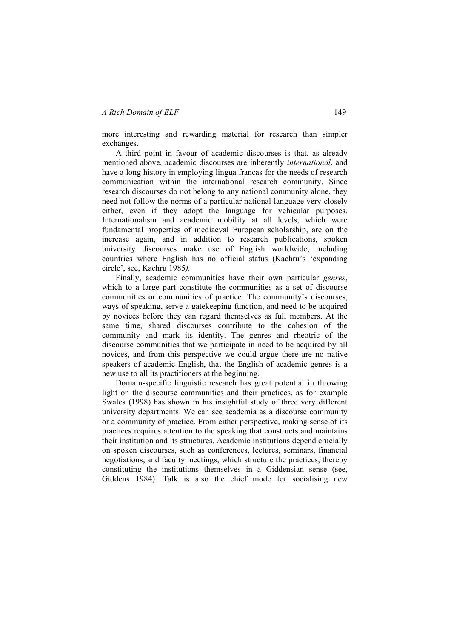more interesting and rewarding material for research than simpler exchanges.

A third point in favour of academic discourses is that, as already mentioned above, academic discourses are inherently *international*, and have a long history in employing lingua francas for the needs of research communication within the international research community. Since research discourses do not belong to any national community alone, they need not follow the norms of a particular national language very closely either, even if they adopt the language for vehicular purposes. Internationalism and academic mobility at all levels, which were fundamental properties of mediaeval European scholarship, are on the increase again, and in addition to research publications, spoken university discourses make use of English worldwide, including countries where English has no official status (Kachru's 'expanding circle', see, Kachru 1985*).*

Finally, academic communities have their own particular *genres*, which to a large part constitute the communities as a set of discourse communities or communities of practice. The community's discourses, ways of speaking, serve a gatekeeping function, and need to be acquired by novices before they can regard themselves as full members. At the same time, shared discourses contribute to the cohesion of the community and mark its identity. The genres and rheotric of the discourse communities that we participate in need to be acquired by all novices, and from this perspective we could argue there are no native speakers of academic English, that the English of academic genres is a new use to all its practitioners at the beginning.

Domain-specific linguistic research has great potential in throwing light on the discourse communities and their practices, as for example Swales (1998) has shown in his insightful study of three very different university departments. We can see academia as a discourse community or a community of practice. From either perspective, making sense of its practices requires attention to the speaking that constructs and maintains their institution and its structures. Academic institutions depend crucially on spoken discourses, such as conferences, lectures, seminars, financial negotiations, and faculty meetings, which structure the practices, thereby constituting the institutions themselves in a Giddensian sense (see, Giddens 1984). Talk is also the chief mode for socialising new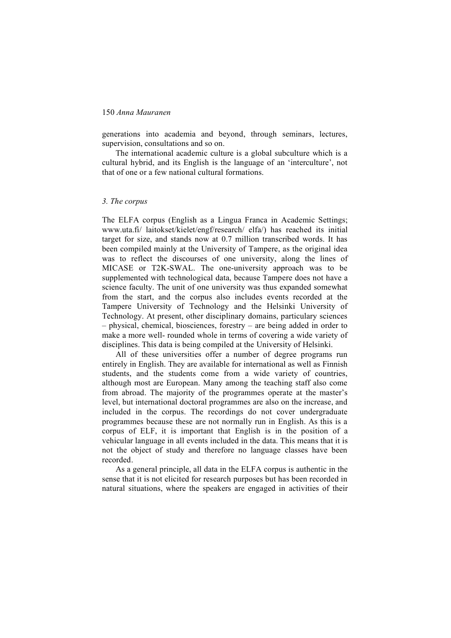generations into academia and beyond, through seminars, lectures, supervision, consultations and so on.

The international academic culture is a global subculture which is a cultural hybrid, and its English is the language of an 'interculture', not that of one or a few national cultural formations.

#### *3. The corpus*

The ELFA corpus (English as a Lingua Franca in Academic Settings; www.uta.fi/ laitokset/kielet/engf/research/ elfa/) has reached its initial target for size, and stands now at 0.7 million transcribed words. It has been compiled mainly at the University of Tampere, as the original idea was to reflect the discourses of one university, along the lines of MICASE or T2K-SWAL. The one-university approach was to be supplemented with technological data, because Tampere does not have a science faculty. The unit of one university was thus expanded somewhat from the start, and the corpus also includes events recorded at the Tampere University of Technology and the Helsinki University of Technology. At present, other disciplinary domains, particulary sciences – physical, chemical, biosciences, forestry – are being added in order to make a more well- rounded whole in terms of covering a wide variety of disciplines. This data is being compiled at the University of Helsinki.

All of these universities offer a number of degree programs run entirely in English. They are available for international as well as Finnish students, and the students come from a wide variety of countries, although most are European. Many among the teaching staff also come from abroad. The majority of the programmes operate at the master's level, but international doctoral programmes are also on the increase, and included in the corpus. The recordings do not cover undergraduate programmes because these are not normally run in English. As this is a corpus of ELF, it is important that English is in the position of a vehicular language in all events included in the data. This means that it is not the object of study and therefore no language classes have been recorded.

As a general principle, all data in the ELFA corpus is authentic in the sense that it is not elicited for research purposes but has been recorded in natural situations, where the speakers are engaged in activities of their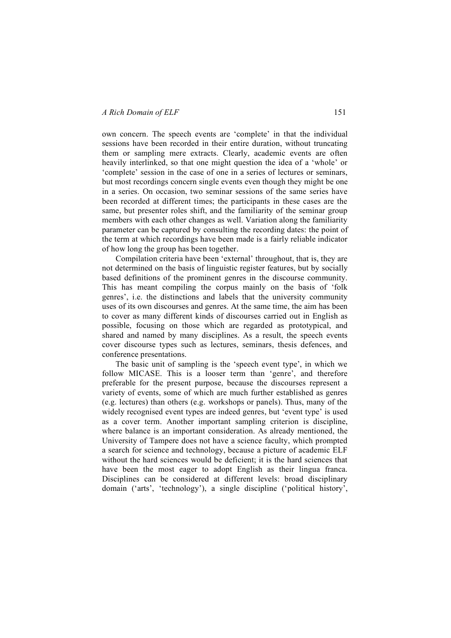own concern. The speech events are 'complete' in that the individual sessions have been recorded in their entire duration, without truncating them or sampling mere extracts. Clearly, academic events are often heavily interlinked, so that one might question the idea of a 'whole' or 'complete' session in the case of one in a series of lectures or seminars, but most recordings concern single events even though they might be one in a series. On occasion, two seminar sessions of the same series have been recorded at different times; the participants in these cases are the same, but presenter roles shift, and the familiarity of the seminar group members with each other changes as well. Variation along the familiarity parameter can be captured by consulting the recording dates: the point of the term at which recordings have been made is a fairly reliable indicator of how long the group has been together.

Compilation criteria have been 'external' throughout, that is, they are not determined on the basis of linguistic register features, but by socially based definitions of the prominent genres in the discourse community. This has meant compiling the corpus mainly on the basis of 'folk genres', i.e. the distinctions and labels that the university community uses of its own discourses and genres. At the same time, the aim has been to cover as many different kinds of discourses carried out in English as possible, focusing on those which are regarded as prototypical, and shared and named by many disciplines. As a result, the speech events cover discourse types such as lectures, seminars, thesis defences, and conference presentations.

The basic unit of sampling is the 'speech event type', in which we follow MICASE. This is a looser term than 'genre', and therefore preferable for the present purpose, because the discourses represent a variety of events, some of which are much further established as genres (e.g. lectures) than others (e.g. workshops or panels). Thus, many of the widely recognised event types are indeed genres, but 'event type' is used as a cover term. Another important sampling criterion is discipline, where balance is an important consideration. As already mentioned, the University of Tampere does not have a science faculty, which prompted a search for science and technology, because a picture of academic ELF without the hard sciences would be deficient; it is the hard sciences that have been the most eager to adopt English as their lingua franca. Disciplines can be considered at different levels: broad disciplinary domain ('arts', 'technology'), a single discipline ('political history',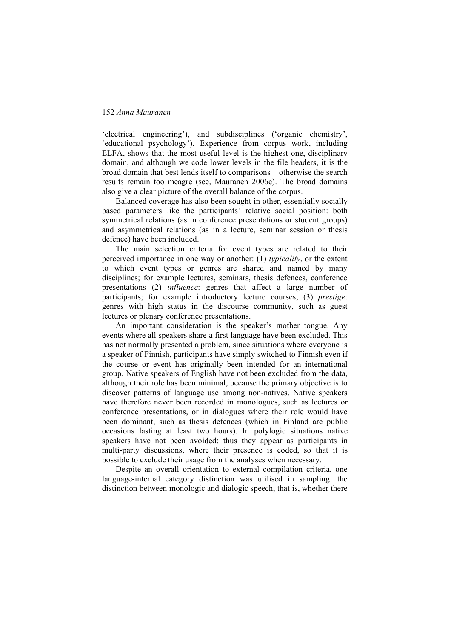'electrical engineering'), and subdisciplines ('organic chemistry', 'educational psychology'). Experience from corpus work, including ELFA, shows that the most useful level is the highest one, disciplinary domain, and although we code lower levels in the file headers, it is the broad domain that best lends itself to comparisons – otherwise the search results remain too meagre (see, Mauranen 2006c). The broad domains also give a clear picture of the overall balance of the corpus.

Balanced coverage has also been sought in other, essentially socially based parameters like the participants' relative social position: both symmetrical relations (as in conference presentations or student groups) and asymmetrical relations (as in a lecture, seminar session or thesis defence) have been included.

The main selection criteria for event types are related to their perceived importance in one way or another: (1) *typicality*, or the extent to which event types or genres are shared and named by many disciplines; for example lectures, seminars, thesis defences, conference presentations (2) *influence*: genres that affect a large number of participants; for example introductory lecture courses; (3) *prestige*: genres with high status in the discourse community, such as guest lectures or plenary conference presentations.

An important consideration is the speaker's mother tongue. Any events where all speakers share a first language have been excluded. This has not normally presented a problem, since situations where everyone is a speaker of Finnish, participants have simply switched to Finnish even if the course or event has originally been intended for an international group. Native speakers of English have not been excluded from the data, although their role has been minimal, because the primary objective is to discover patterns of language use among non-natives. Native speakers have therefore never been recorded in monologues, such as lectures or conference presentations, or in dialogues where their role would have been dominant, such as thesis defences (which in Finland are public occasions lasting at least two hours). In polylogic situations native speakers have not been avoided; thus they appear as participants in multi-party discussions, where their presence is coded, so that it is possible to exclude their usage from the analyses when necessary.

Despite an overall orientation to external compilation criteria, one language-internal category distinction was utilised in sampling: the distinction between monologic and dialogic speech, that is, whether there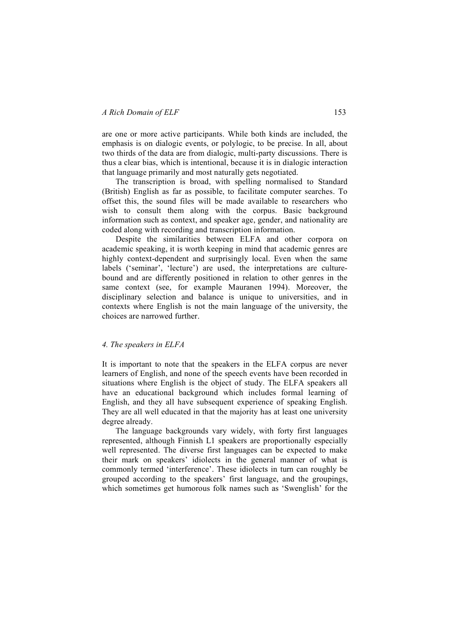are one or more active participants. While both kinds are included, the emphasis is on dialogic events, or polylogic, to be precise. In all, about two thirds of the data are from dialogic, multi-party discussions. There is thus a clear bias, which is intentional, because it is in dialogic interaction that language primarily and most naturally gets negotiated.

The transcription is broad, with spelling normalised to Standard (British) English as far as possible, to facilitate computer searches. To offset this, the sound files will be made available to researchers who wish to consult them along with the corpus. Basic background information such as context, and speaker age, gender, and nationality are coded along with recording and transcription information.

Despite the similarities between ELFA and other corpora on academic speaking, it is worth keeping in mind that academic genres are highly context-dependent and surprisingly local. Even when the same labels ('seminar', 'lecture') are used, the interpretations are culturebound and are differently positioned in relation to other genres in the same context (see, for example Mauranen 1994). Moreover, the disciplinary selection and balance is unique to universities, and in contexts where English is not the main language of the university, the choices are narrowed further.

# *4. The speakers in ELFA*

It is important to note that the speakers in the ELFA corpus are never learners of English, and none of the speech events have been recorded in situations where English is the object of study. The ELFA speakers all have an educational background which includes formal learning of English, and they all have subsequent experience of speaking English. They are all well educated in that the majority has at least one university degree already.

The language backgrounds vary widely, with forty first languages represented, although Finnish L1 speakers are proportionally especially well represented. The diverse first languages can be expected to make their mark on speakers' idiolects in the general manner of what is commonly termed 'interference'. These idiolects in turn can roughly be grouped according to the speakers' first language, and the groupings, which sometimes get humorous folk names such as 'Swenglish' for the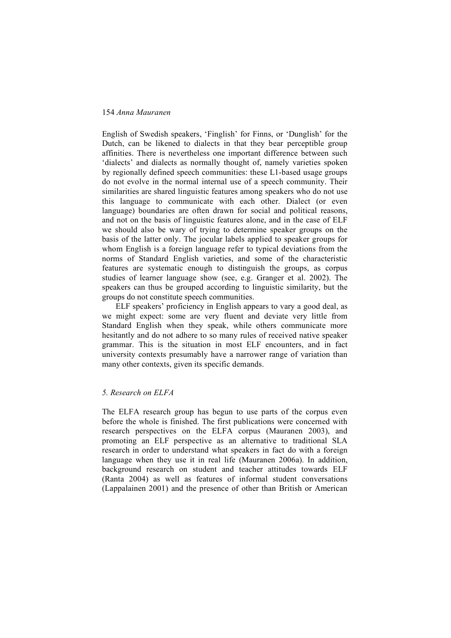English of Swedish speakers, 'Finglish' for Finns, or 'Dunglish' for the Dutch, can be likened to dialects in that they bear perceptible group affinities. There is nevertheless one important difference between such 'dialects' and dialects as normally thought of, namely varieties spoken by regionally defined speech communities: these L1-based usage groups do not evolve in the normal internal use of a speech community. Their similarities are shared linguistic features among speakers who do not use this language to communicate with each other. Dialect (or even language) boundaries are often drawn for social and political reasons, and not on the basis of linguistic features alone, and in the case of ELF we should also be wary of trying to determine speaker groups on the basis of the latter only. The jocular labels applied to speaker groups for whom English is a foreign language refer to typical deviations from the norms of Standard English varieties, and some of the characteristic features are systematic enough to distinguish the groups, as corpus studies of learner language show (see, e.g. Granger et al. 2002). The speakers can thus be grouped according to linguistic similarity, but the groups do not constitute speech communities.

ELF speakers' proficiency in English appears to vary a good deal, as we might expect: some are very fluent and deviate very little from Standard English when they speak, while others communicate more hesitantly and do not adhere to so many rules of received native speaker grammar. This is the situation in most ELF encounters, and in fact university contexts presumably have a narrower range of variation than many other contexts, given its specific demands.

#### *5. Research on ELFA*

The ELFA research group has begun to use parts of the corpus even before the whole is finished. The first publications were concerned with research perspectives on the ELFA corpus (Mauranen 2003), and promoting an ELF perspective as an alternative to traditional SLA research in order to understand what speakers in fact do with a foreign language when they use it in real life (Mauranen 2006a). In addition, background research on student and teacher attitudes towards ELF (Ranta 2004) as well as features of informal student conversations (Lappalainen 2001) and the presence of other than British or American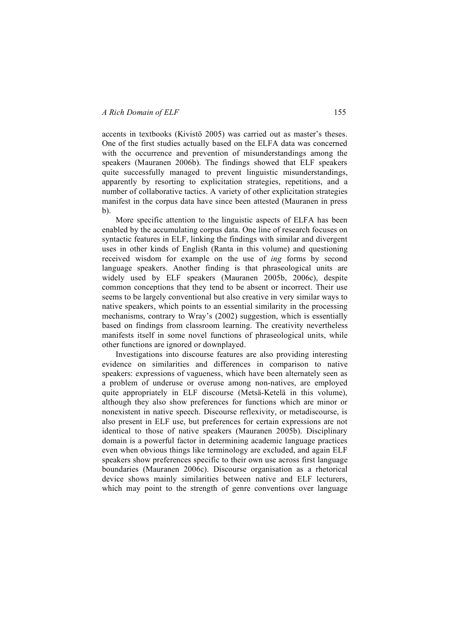accents in textbooks (Kivistö 2005) was carried out as master's theses. One of the first studies actually based on the ELFA data was concerned with the occurrence and prevention of misunderstandings among the speakers (Mauranen 2006b). The findings showed that ELF speakers quite successfully managed to prevent linguistic misunderstandings, apparently by resorting to explicitation strategies, repetitions, and a number of collaborative tactics. A variety of other explicitation strategies manifest in the corpus data have since been attested (Mauranen in press b).

More specific attention to the linguistic aspects of ELFA has been enabled by the accumulating corpus data. One line of research focuses on syntactic features in ELF, linking the findings with similar and divergent uses in other kinds of English (Ranta in this volume) and questioning received wisdom for example on the use of *ing* forms by second language speakers. Another finding is that phraseological units are widely used by ELF speakers (Mauranen 2005b, 2006c), despite common conceptions that they tend to be absent or incorrect. Their use seems to be largely conventional but also creative in very similar ways to native speakers, which points to an essential similarity in the processing mechanisms, contrary to Wray's (2002) suggestion, which is essentially based on findings from classroom learning. The creativity nevertheless manifests itself in some novel functions of phraseological units, while other functions are ignored or downplayed.

Investigations into discourse features are also providing interesting evidence on similarities and differences in comparison to native speakers: expressions of vagueness, which have been alternately seen as a problem of underuse or overuse among non-natives, are employed quite appropriately in ELF discourse (Metsä-Ketelä in this volume), although they also show preferences for functions which are minor or nonexistent in native speech. Discourse reflexivity, or metadiscourse, is also present in ELF use, but preferences for certain expressions are not identical to those of native speakers (Mauranen 2005b). Disciplinary domain is a powerful factor in determining academic language practices even when obvious things like terminology are excluded, and again ELF speakers show preferences specific to their own use across first language boundaries (Mauranen 2006c). Discourse organisation as a rhetorical device shows mainly similarities between native and ELF lecturers, which may point to the strength of genre conventions over language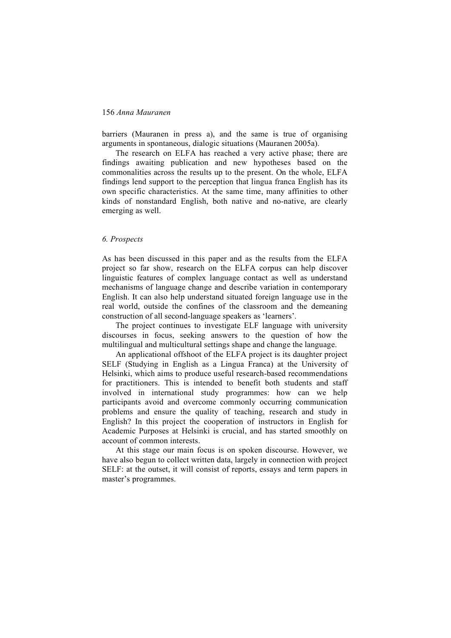barriers (Mauranen in press a), and the same is true of organising arguments in spontaneous, dialogic situations (Mauranen 2005a).

The research on ELFA has reached a very active phase; there are findings awaiting publication and new hypotheses based on the commonalities across the results up to the present. On the whole, ELFA findings lend support to the perception that lingua franca English has its own specific characteristics. At the same time, many affinities to other kinds of nonstandard English, both native and no-native, are clearly emerging as well.

## *6. Prospects*

As has been discussed in this paper and as the results from the ELFA project so far show, research on the ELFA corpus can help discover linguistic features of complex language contact as well as understand mechanisms of language change and describe variation in contemporary English. It can also help understand situated foreign language use in the real world, outside the confines of the classroom and the demeaning construction of all second-language speakers as 'learners'.

The project continues to investigate ELF language with university discourses in focus, seeking answers to the question of how the multilingual and multicultural settings shape and change the language.

An applicational offshoot of the ELFA project is its daughter project SELF (Studying in English as a Lingua Franca) at the University of Helsinki, which aims to produce useful research-based recommendations for practitioners. This is intended to benefit both students and staff involved in international study programmes: how can we help participants avoid and overcome commonly occurring communication problems and ensure the quality of teaching, research and study in English? In this project the cooperation of instructors in English for Academic Purposes at Helsinki is crucial, and has started smoothly on account of common interests.

At this stage our main focus is on spoken discourse. However, we have also begun to collect written data, largely in connection with project SELF: at the outset, it will consist of reports, essays and term papers in master's programmes.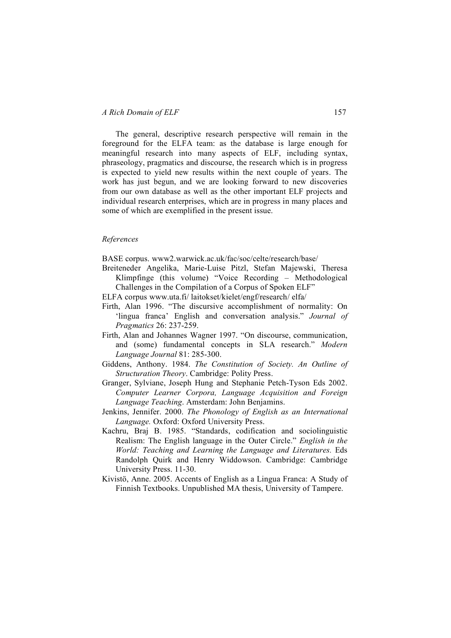The general, descriptive research perspective will remain in the foreground for the ELFA team: as the database is large enough for meaningful research into many aspects of ELF, including syntax, phraseology, pragmatics and discourse, the research which is in progress is expected to yield new results within the next couple of years. The work has just begun, and we are looking forward to new discoveries from our own database as well as the other important ELF projects and individual research enterprises, which are in progress in many places and some of which are exemplified in the present issue.

#### *References*

BASE corpus. www2.warwick.ac.uk/fac/soc/celte/research/base/

- Breiteneder Angelika, Marie-Luise Pitzl, Stefan Majewski, Theresa Klimpfinge (this volume) "Voice Recording – Methodological Challenges in the Compilation of a Corpus of Spoken ELF"
- ELFA corpus www.uta.fi/ laitokset/kielet/engf/research/ elfa/
- Firth, Alan 1996. "The discursive accomplishment of normality: On 'lingua franca' English and conversation analysis." *Journal of Pragmatics* 26: 237-259.
- Firth, Alan and Johannes Wagner 1997. "On discourse, communication, and (some) fundamental concepts in SLA research." *Modern Language Journal* 81: 285-300.
- Giddens, Anthony. 1984. *The Constitution of Society. An Outline of Structuration Theory*. Cambridge: Polity Press.
- Granger, Sylviane, Joseph Hung and Stephanie Petch-Tyson Eds 2002. *Computer Learner Corpora, Language Acquisition and Foreign Language Teaching*. Amsterdam: John Benjamins.
- Jenkins, Jennifer. 2000. *The Phonology of English as an International Language.* Oxford: Oxford University Press.
- Kachru, Braj B. 1985. "Standards, codification and sociolinguistic Realism: The English language in the Outer Circle." *English in the World: Teaching and Learning the Language and Literatures.* Eds Randolph Quirk and Henry Widdowson. Cambridge: Cambridge University Press. 11-30.
- Kivistö, Anne. 2005. Accents of English as a Lingua Franca: A Study of Finnish Textbooks. Unpublished MA thesis, University of Tampere.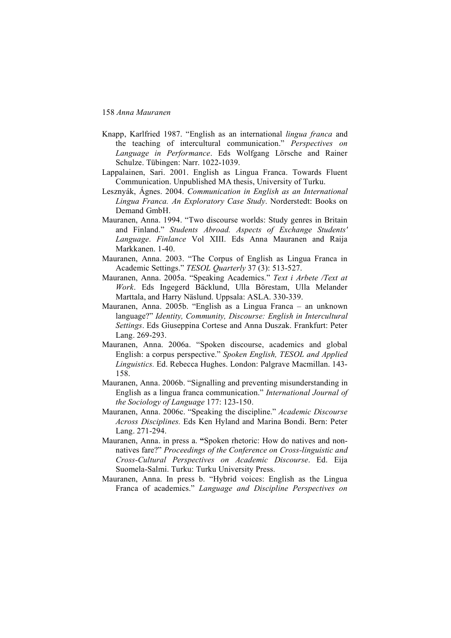- Knapp, Karlfried 1987. "English as an international *lingua franca* and the teaching of intercultural communication." *Perspectives on Language in Performance*. Eds Wolfgang Lörsche and Rainer Schulze. Tübingen: Narr. 1022-1039.
- Lappalainen, Sari. 2001. English as Lingua Franca. Towards Fluent Communication. Unpublished MA thesis, University of Turku.
- Lesznyák, Ágnes. 2004. *Communication in English as an International Lingua Franca. An Exploratory Case Study*. Norderstedt: Books on Demand GmbH.
- Mauranen, Anna. 1994. "Two discourse worlds: Study genres in Britain and Finland." *Students Abroad. Aspects of Exchange Students' Language*. *Finlance* Vol XIII. Eds Anna Mauranen and Raija Markkanen. 1-40.
- Mauranen, Anna. 2003. "The Corpus of English as Lingua Franca in Academic Settings." *TESOL Quarterly* 37 (3): 513-527.
- Mauranen, Anna. 2005a. "Speaking Academics." *Text i Arbete /Text at Work*. Eds Ingegerd Bäcklund, Ulla Börestam, Ulla Melander Marttala, and Harry Näslund. Uppsala: ASLA. 330-339.
- Mauranen, Anna. 2005b. "English as a Lingua Franca an unknown language?" *Identity, Community, Discourse: English in Intercultural Settings*. Eds Giuseppina Cortese and Anna Duszak. Frankfurt: Peter Lang. 269-293.
- Mauranen, Anna. 2006a. "Spoken discourse, academics and global English: a corpus perspective." *Spoken English, TESOL and Applied Linguistics.* Ed. Rebecca Hughes. London: Palgrave Macmillan. 143- 158.
- Mauranen, Anna. 2006b. "Signalling and preventing misunderstanding in English as a lingua franca communication." *International Journal of the Sociology of Language* 177: 123-150.
- Mauranen, Anna. 2006c. "Speaking the discipline." *Academic Discourse Across Disciplines.* Eds Ken Hyland and Marina Bondi. Bern: Peter Lang. 271-294.
- Mauranen, Anna. in press a. **"**Spoken rhetoric: How do natives and nonnatives fare?" *Proceedings of the Conference on Cross-linguistic and Cross-Cultural Perspectives on Academic Discourse*. Ed. Eija Suomela-Salmi. Turku: Turku University Press.
- Mauranen, Anna. In press b. "Hybrid voices: English as the Lingua Franca of academics." *Language and Discipline Perspectives on*